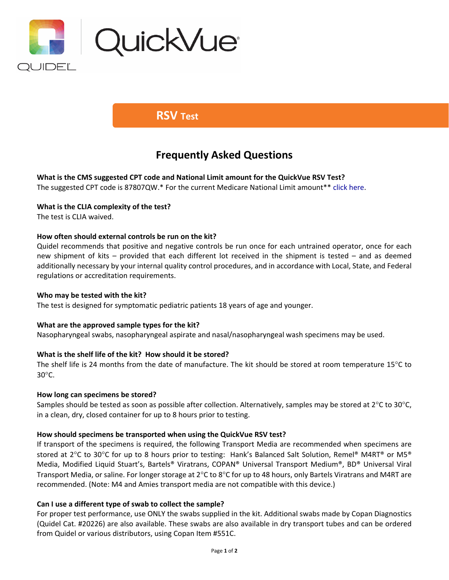

## **RSV Test**

# **Frequently Asked Questions**

**What is the CMS suggested CPT code and National Limit amount for the QuickVue RSV Test?** The suggested CPT code is 87807QW.\* For the current Medicare National Limit amount\*\* [click here.](https://www.codemap.com/quidel/index.cfm?page=rapid)

## **What is the CLIA complexity of the test?**

The test is CLIA waived.

## **How often should external controls be run on the kit?**

Quidel recommends that positive and negative controls be run once for each untrained operator, once for each new shipment of kits – provided that each different lot received in the shipment is tested – and as deemed additionally necessary by your internal quality control procedures, and in accordance with Local, State, and Federal regulations or accreditation requirements.

## **Who may be tested with the kit?**

The test is designed for symptomatic pediatric patients 18 years of age and younger.

## **What are the approved sample types for the kit?**

Nasopharyngeal swabs, nasopharyngeal aspirate and nasal/nasopharyngeal wash specimens may be used.

## **What is the shelf life of the kit? How should it be stored?**

The shelf life is 24 months from the date of manufacture. The kit should be stored at room temperature 15°C to 30°C.

#### **How long can specimens be stored?**

Samples should be tested as soon as possible after collection. Alternatively, samples may be stored at 2°C to 30°C, in a clean, dry, closed container for up to 8 hours prior to testing.

## **How should specimens be transported when using the QuickVue RSV test?**

If transport of the specimens is required, the following Transport Media are recommended when specimens are stored at 2°C to 30°C for up to 8 hours prior to testing: Hank's Balanced Salt Solution, Remel® M4RT® or M5® Media, Modified Liquid Stuart's, Bartels® Viratrans, COPAN® Universal Transport Medium®, BD® Universal Viral Transport Media, or saline. For longer storage at 2°C to 8°C for up to 48 hours, only Bartels Viratrans and M4RT are recommended. (Note: M4 and Amies transport media are not compatible with this device.)

#### **Can I use a different type of swab to collect the sample?**

For proper test performance, use ONLY the swabs supplied in the kit. Additional swabs made by Copan Diagnostics (Quidel Cat. #20226) are also available. These swabs are also available in dry transport tubes and can be ordered from Quidel or various distributors, using Copan Item #551C.